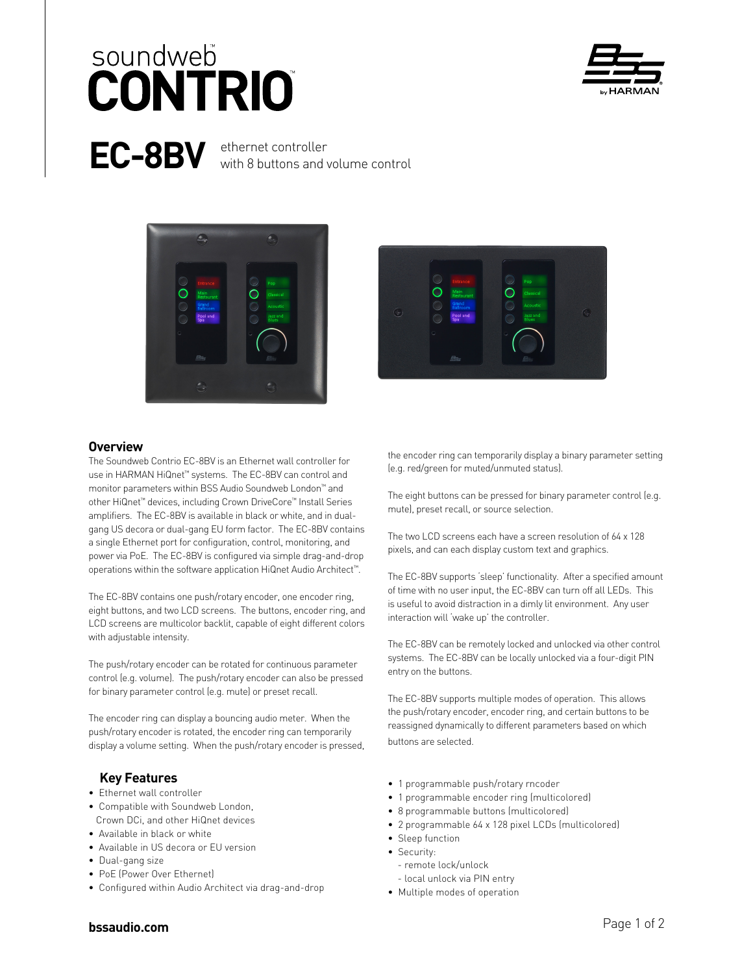# soundweb **CONTRIO**



**EC-8BV** ethernet controller with 8 buttons and volume control





### **Overview**

The Soundweb Contrio EC-8BV is an Ethernet wall controller for use in HARMAN HiQnet™ systems. The EC-8BV can control and monitor parameters within BSS Audio Soundweb London™ and other HiQnet™ devices, including Crown DriveCore™ Install Series amplifiers. The EC-8BV is available in black or white, and in dualgang US decora or dual-gang EU form factor. The EC-8BV contains a single Ethernet port for configuration, control, monitoring, and power via PoE. The EC-8BV is configured via simple drag-and-drop operations within the software application HiQnet Audio Architect™.

The EC-8BV contains one push/rotary encoder, one encoder ring, eight buttons, and two LCD screens. The buttons, encoder ring, and LCD screens are multicolor backlit, capable of eight different colors with adjustable intensity.

The push/rotary encoder can be rotated for continuous parameter control (e.g. volume). The push/rotary encoder can also be pressed for binary parameter control (e.g. mute) or preset recall.

The encoder ring can display a bouncing audio meter. When the push/rotary encoder is rotated, the encoder ring can temporarily display a volume setting. When the push/rotary encoder is pressed,

## **Key Features**

- Ethernet wall controller
- Compatible with Soundweb London, Crown DCi, and other HiQnet devices
- Available in black or white
- Available in US decora or EU version
- Dual-gang size
- PoE (Power Over Ethernet)
- Configured within Audio Architect via drag-and-drop

the encoder ring can temporarily display a binary parameter setting (e.g. red/green for muted/unmuted status).

The eight buttons can be pressed for binary parameter control (e.g. mute), preset recall, or source selection.

The two LCD screens each have a screen resolution of 64 x 128 pixels, and can each display custom text and graphics.

The EC-8BV supports 'sleep' functionality. After a specified amount of time with no user input, the EC-8BV can turn off all LEDs. This is useful to avoid distraction in a dimly lit environment. Any user interaction will 'wake up' the controller.

The EC-8BV can be remotely locked and unlocked via other control systems. The EC-8BV can be locally unlocked via a four-digit PIN entry on the buttons.

The EC-8BV supports multiple modes of operation. This allows the push/rotary encoder, encoder ring, and certain buttons to be reassigned dynamically to different parameters based on which buttons are selected.

- 1 programmable push/rotary rncoder
- 1 programmable encoder ring (multicolored)
- 8 programmable buttons (multicolored)
- 2 programmable 64 x 128 pixel LCDs (multicolored)
- Sleep function
- Security:
	- remote lock/unlock
	- local unlock via PIN entry
- Multiple modes of operation

## **bssaudio.com** Page 1 of 2